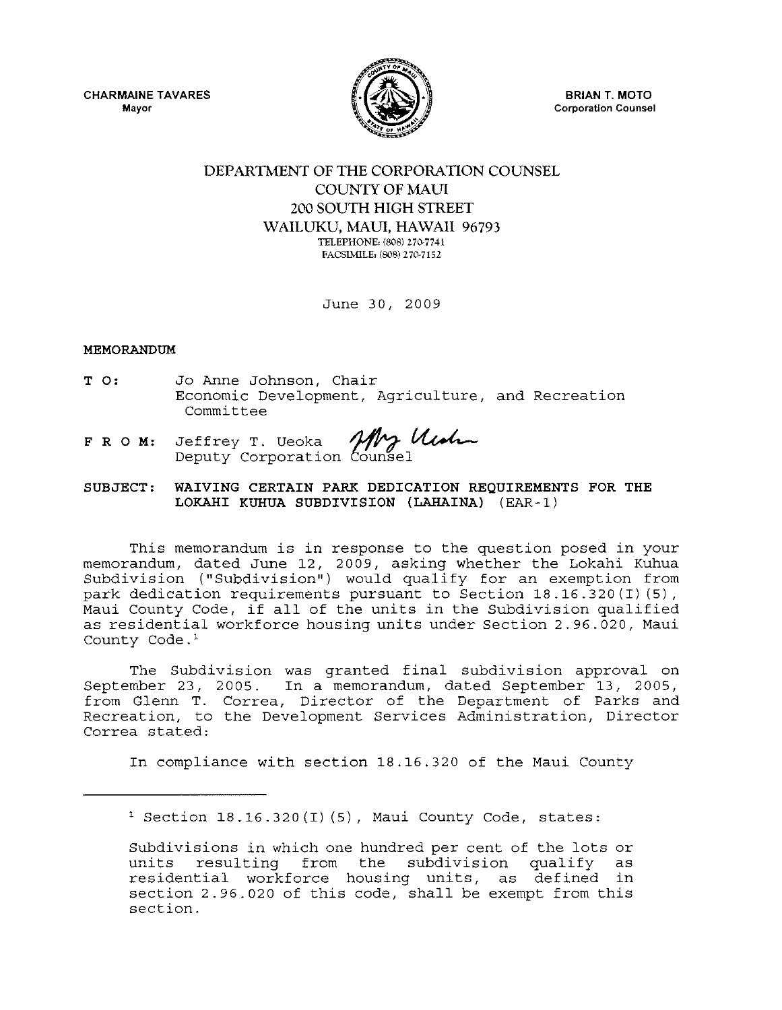CHARMAINE TAVARES **Mayor** 



**BRIAN T. MOTO Corporation Counsel** 

## DEPARTMENT OF THE CORPORATION COUNSEL COUNTY OF MAUl 200 SOUTH HIGH STREET WAILUKU, MAUl, HAWAII 96793 TELEPHONE, (808) 270-7741 FACSIMILE, (808) 270-7152

June 30, 2009

## MEMORANDUM

- T 0: Jo Anne Johnson, Chair Economic Development, Agriculture, and Recreation Committee
- FRO M: Deputy Jeffrey c Development, Agriculture, and Revelopment, Agriculture, and Revelopment, Agriculture, and Revelopment<br>T. Ueoka *Mrg Utalian*

## SUBJECT: WAIVING CERTAIN PARK DEDICATION REQUIREMENTS FOR THE LOKAHI KUHUA SUBDIVISION (LAHAINA) (EAR-I)

This memorandum is in response to the question posed in your memorandum, dated June 12, 2009, asking whether the Lokahi Kuhua Subdivision ("Subdivision") would qualify for an exemption from park dedication requirements pursuant to Section 18.16.320(1) (5), Maui County Code, if all of the units in the Subdivision qualified as residential workforce housing units under Section 2.96.020, Maui County Code.<sup>1</sup>

The Subdivision was granted final subdivision approval on September 23, 2005. In a memorandum, dated September 13, 2005, from Glenn T. Correa, Director of the Department of Parks and Recreation, to the Development Services Administration, Director Correa stated:

In compliance with section 18.16.320 of the Maui County

 $1$  Section 18.16.320(I)(5), Maui County Code, states:

Subdivisions in which one hundred per cent of the lots or<br>units resulting from the subdivision qualify as units resulting from the subdivision qualify residential workforce housing units, as defined in section 2.96.020 of this code, shall be exempt from this section.